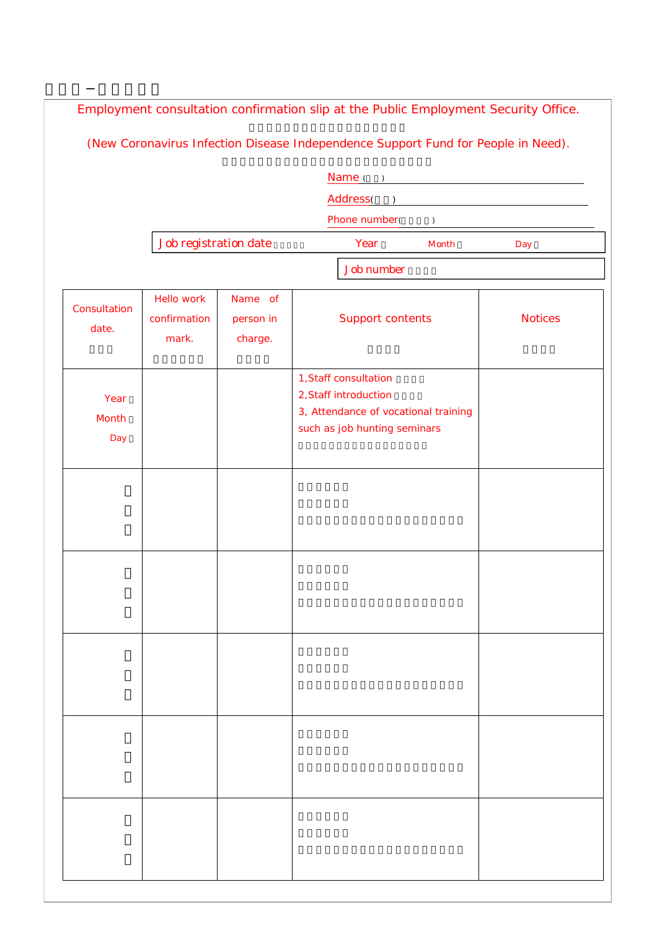| Employment consultation confirmation slip at the Public Employment Security Office. |                                     |                                 |                                                                                                                        |       |                |  |
|-------------------------------------------------------------------------------------|-------------------------------------|---------------------------------|------------------------------------------------------------------------------------------------------------------------|-------|----------------|--|
|                                                                                     |                                     |                                 | (New Coronavirus Infection Disease Independence Support Fund for People in Need).                                      |       |                |  |
|                                                                                     |                                     |                                 | Name( )                                                                                                                |       |                |  |
|                                                                                     |                                     |                                 | Address( )                                                                                                             |       |                |  |
|                                                                                     |                                     | Phone number(<br>$\lambda$      |                                                                                                                        |       |                |  |
|                                                                                     | Job registration date               |                                 | Year                                                                                                                   | Month | Day            |  |
|                                                                                     |                                     |                                 | <b>Job number</b>                                                                                                      |       |                |  |
| Consultation<br>date.                                                               | Hello work<br>confirmation<br>mark. | Name of<br>person in<br>charge. | <b>Support contents</b>                                                                                                |       | <b>Notices</b> |  |
| Year<br>Month<br>Day                                                                |                                     |                                 | 1, Staff consultation<br>2, Staff introduction<br>3, Attendance of vocational training<br>such as job hunting seminars |       |                |  |
|                                                                                     |                                     |                                 |                                                                                                                        |       |                |  |
|                                                                                     |                                     |                                 |                                                                                                                        |       |                |  |
|                                                                                     |                                     |                                 |                                                                                                                        |       |                |  |
|                                                                                     |                                     |                                 |                                                                                                                        |       |                |  |
|                                                                                     |                                     |                                 |                                                                                                                        |       |                |  |